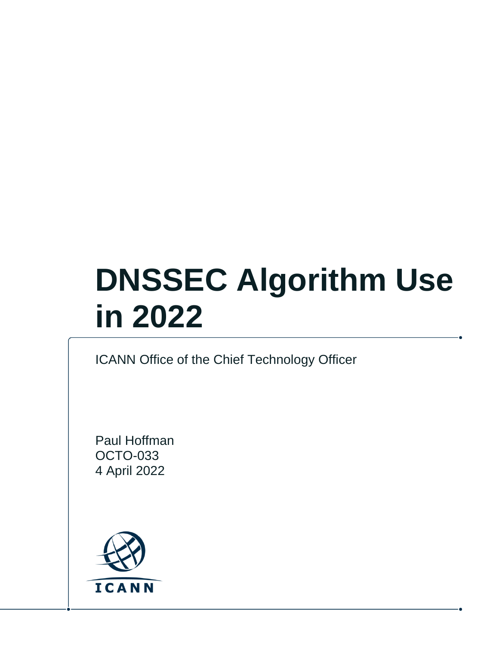# **DNSSEC Algorithm Use in 2022**

#### ICANN Office of the Chief Technology Officer

Paul Hoffman OCTO-033 4 April 2022

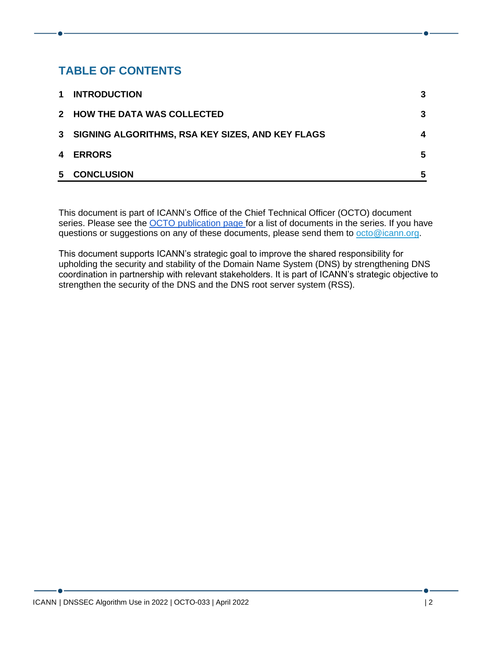#### **TABLE OF CONTENTS**

| $\mathbf 1$ | <b>INTRODUCTION</b>                                | 3  |
|-------------|----------------------------------------------------|----|
|             | 2 HOW THE DATA WAS COLLECTED                       | 3  |
|             | 3 SIGNING ALGORITHMS, RSA KEY SIZES, AND KEY FLAGS | 4  |
|             | 4 ERRORS                                           | 5. |
| 5           | <b>CONCLUSION</b>                                  | 5  |

This document is part of ICANN's Office of the Chief Technical Officer (OCTO) document series. Please see the [OCTO publication page](https://www.icann.org/resources/pages/octo-publications-2019-05-24-en) for a list of documents in the series. If you have questions or suggestions on any of these documents, please send them to [octo@icann.org.](mailto:octo@icann.org)

This document supports ICANN's strategic goal to improve the shared responsibility for upholding the security and stability of the Domain Name System (DNS) by strengthening DNS coordination in partnership with relevant stakeholders. It is part of ICANN's strategic objective to strengthen the security of the DNS and the DNS root server system (RSS).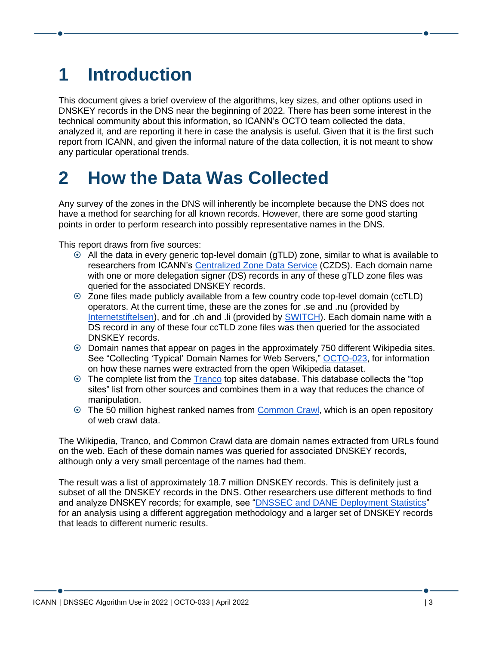## <span id="page-2-0"></span>**1 Introduction**

This document gives a brief overview of the algorithms, key sizes, and other options used in DNSKEY records in the DNS near the beginning of 2022. There has been some interest in the technical community about this information, so ICANN's OCTO team collected the data, analyzed it, and are reporting it here in case the analysis is useful. Given that it is the first such report from ICANN, and given the informal nature of the data collection, it is not meant to show any particular operational trends.

#### <span id="page-2-1"></span>**2 How the Data Was Collected**

Any survey of the zones in the DNS will inherently be incomplete because the DNS does not have a method for searching for all known records. However, there are some good starting points in order to perform research into possibly representative names in the DNS.

This report draws from five sources:

- All the data in every generic top-level domain (gTLD) zone, similar to what is available to researchers from ICANN's [Centralized Zone Data Service](https://czds.icann.org/) (CZDS). Each domain name with one or more delegation signer (DS) records in any of these gTLD zone files was queried for the associated DNSKEY records.
- Zone files made publicly available from a few country code top-level domain (ccTLD) operators. At the current time, these are the zones for .se and .nu (provided by [Internetstiftelsen\)](https://zonedata.iis.se/), and for .ch and .li (provided by [SWITCH\)](https://www.switch.ch/open-data/). Each domain name with a DS record in any of these four ccTLD zone files was then queried for the associated DNSKEY records.
- Domain names that appear on pages in the approximately 750 different Wikipedia sites. See "Collecting 'Typical' Domain Names for Web Servers," [OCTO-023,](https://www.icann.org/octo-023-en.pdf) for information on how these names were extracted from the open Wikipedia dataset.
- $\odot$  The complete list from the [Tranco](https://tranco-list.eu/) top sites database. This database collects the "top" sites" list from other sources and combines them in a way that reduces the chance of manipulation.
- The 50 million highest ranked names from [Common Crawl,](https://commoncrawl.org/) which is an open repository of web crawl data.

The Wikipedia, Tranco, and Common Crawl data are domain names extracted from URLs found on the web. Each of these domain names was queried for associated DNSKEY records, although only a very small percentage of the names had them.

The result was a list of approximately 18.7 million DNSKEY records. This is definitely just a subset of all the DNSKEY records in the DNS. Other researchers use different methods to find and analyze DNSKEY records; for example, see ["DNSSEC and DANE Deployment Statistics"](https://stats.dnssec-tools.org/) for an analysis using a different aggregation methodology and a larger set of DNSKEY records that leads to different numeric results.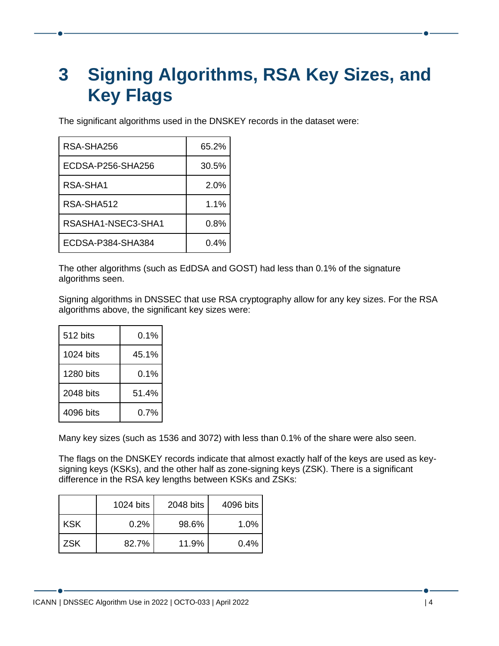## <span id="page-3-0"></span>**3 Signing Algorithms, RSA Key Sizes, and Key Flags**

The significant algorithms used in the DNSKEY records in the dataset were:

| RSA-SHA256         | 65.2%   |
|--------------------|---------|
| ECDSA-P256-SHA256  | 30.5%   |
| RSA-SHA1           | 2.0%    |
| RSA-SHA512         | 1.1%    |
| RSASHA1-NSEC3-SHA1 | $0.8\%$ |
| ECDSA-P384-SHA384  | $0.4\%$ |

The other algorithms (such as EdDSA and GOST) had less than 0.1% of the signature algorithms seen.

Signing algorithms in DNSSEC that use RSA cryptography allow for any key sizes. For the RSA algorithms above, the significant key sizes were:

| 512 bits  | 0.1%  |  |
|-----------|-------|--|
| 1024 bits | 45.1% |  |
| 1280 bits | 0.1%  |  |
| 2048 bits | 51.4% |  |
| 4096 bits | 0.7%  |  |

Many key sizes (such as 1536 and 3072) with less than 0.1% of the share were also seen.

The flags on the DNSKEY records indicate that almost exactly half of the keys are used as keysigning keys (KSKs), and the other half as zone-signing keys (ZSK). There is a significant difference in the RSA key lengths between KSKs and ZSKs:

|            | 1024 bits | 2048 bits | 4096 bits |
|------------|-----------|-----------|-----------|
| <b>KSK</b> | 0.2%      | 98.6%     | $1.0\%$   |
| <b>ZSK</b> | 82.7%     | 11.9%     | 0.4%      |